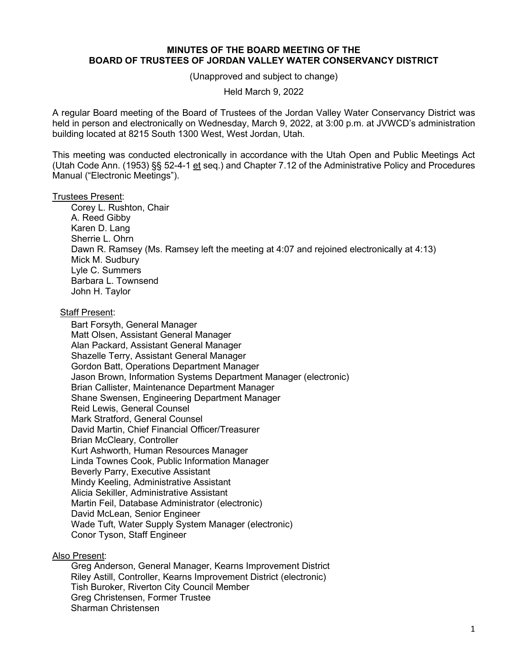## **MINUTES OF THE BOARD MEETING OF THE BOARD OF TRUSTEES OF JORDAN VALLEY WATER CONSERVANCY DISTRICT**

(Unapproved and subject to change)

Held March 9, 2022

A regular Board meeting of the Board of Trustees of the Jordan Valley Water Conservancy District was held in person and electronically on Wednesday, March 9, 2022, at 3:00 p.m. at JVWCD's administration building located at 8215 South 1300 West, West Jordan, Utah.

This meeting was conducted electronically in accordance with the Utah Open and Public Meetings Act (Utah Code Ann. (1953) §§ 52-4-1 et seq.) and Chapter 7.12 of the Administrative Policy and Procedures Manual ("Electronic Meetings").

## Trustees Present:

Corey L. Rushton, Chair A. Reed Gibby Karen D. Lang Sherrie L. Ohrn Dawn R. Ramsey (Ms. Ramsey left the meeting at 4:07 and rejoined electronically at 4:13) Mick M. Sudbury Lyle C. Summers Barbara L. Townsend John H. Taylor

## Staff Present:

Bart Forsyth, General Manager Matt Olsen, Assistant General Manager Alan Packard, Assistant General Manager Shazelle Terry, Assistant General Manager Gordon Batt, Operations Department Manager Jason Brown, Information Systems Department Manager (electronic) Brian Callister, Maintenance Department Manager Shane Swensen, Engineering Department Manager Reid Lewis, General Counsel Mark Stratford, General Counsel David Martin, Chief Financial Officer/Treasurer Brian McCleary, Controller Kurt Ashworth, Human Resources Manager Linda Townes Cook, Public Information Manager Beverly Parry, Executive Assistant Mindy Keeling, Administrative Assistant Alicia Sekiller, Administrative Assistant Martin Feil, Database Administrator (electronic) David McLean, Senior Engineer Wade Tuft, Water Supply System Manager (electronic) Conor Tyson, Staff Engineer

## Also Present:

Greg Anderson, General Manager, Kearns Improvement District Riley Astill, Controller, Kearns Improvement District (electronic) Tish Buroker, Riverton City Council Member Greg Christensen, Former Trustee Sharman Christensen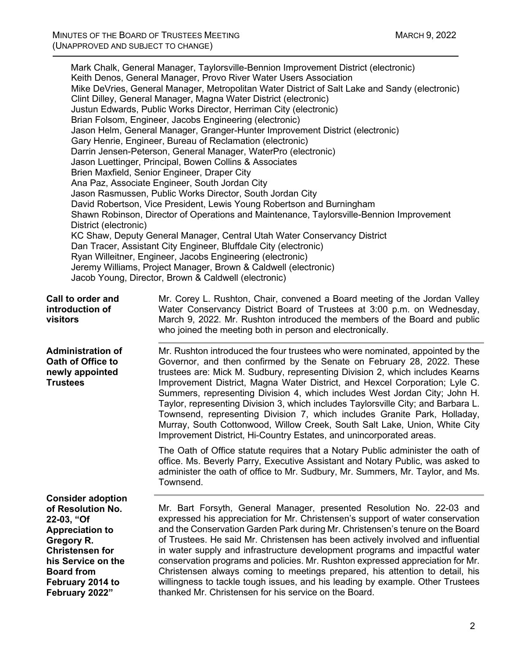| District (electronic)                                                                                                                                                    | Mark Chalk, General Manager, Taylorsville-Bennion Improvement District (electronic)<br>Keith Denos, General Manager, Provo River Water Users Association<br>Mike DeVries, General Manager, Metropolitan Water District of Salt Lake and Sandy (electronic)<br>Clint Dilley, General Manager, Magna Water District (electronic)<br>Justun Edwards, Public Works Director, Herriman City (electronic)<br>Brian Folsom, Engineer, Jacobs Engineering (electronic)<br>Jason Helm, General Manager, Granger-Hunter Improvement District (electronic)<br>Gary Henrie, Engineer, Bureau of Reclamation (electronic)<br>Darrin Jensen-Peterson, General Manager, WaterPro (electronic)<br>Jason Luettinger, Principal, Bowen Collins & Associates<br>Brien Maxfield, Senior Engineer, Draper City<br>Ana Paz, Associate Engineer, South Jordan City<br>Jason Rasmussen, Public Works Director, South Jordan City<br>David Robertson, Vice President, Lewis Young Robertson and Burningham<br>Shawn Robinson, Director of Operations and Maintenance, Taylorsville-Bennion Improvement<br>KC Shaw, Deputy General Manager, Central Utah Water Conservancy District<br>Dan Tracer, Assistant City Engineer, Bluffdale City (electronic)<br>Ryan Willeitner, Engineer, Jacobs Engineering (electronic)<br>Jeremy Williams, Project Manager, Brown & Caldwell (electronic)<br>Jacob Young, Director, Brown & Caldwell (electronic) |
|--------------------------------------------------------------------------------------------------------------------------------------------------------------------------|------------------------------------------------------------------------------------------------------------------------------------------------------------------------------------------------------------------------------------------------------------------------------------------------------------------------------------------------------------------------------------------------------------------------------------------------------------------------------------------------------------------------------------------------------------------------------------------------------------------------------------------------------------------------------------------------------------------------------------------------------------------------------------------------------------------------------------------------------------------------------------------------------------------------------------------------------------------------------------------------------------------------------------------------------------------------------------------------------------------------------------------------------------------------------------------------------------------------------------------------------------------------------------------------------------------------------------------------------------------------------------------------------------------------|
| Call to order and<br>introduction of<br>visitors                                                                                                                         | Mr. Corey L. Rushton, Chair, convened a Board meeting of the Jordan Valley<br>Water Conservancy District Board of Trustees at 3:00 p.m. on Wednesday,<br>March 9, 2022. Mr. Rushton introduced the members of the Board and public<br>who joined the meeting both in person and electronically.                                                                                                                                                                                                                                                                                                                                                                                                                                                                                                                                                                                                                                                                                                                                                                                                                                                                                                                                                                                                                                                                                                                        |
| <b>Administration of</b><br>Oath of Office to<br>newly appointed<br><b>Trustees</b>                                                                                      | Mr. Rushton introduced the four trustees who were nominated, appointed by the<br>Governor, and then confirmed by the Senate on February 28, 2022. These<br>trustees are: Mick M. Sudbury, representing Division 2, which includes Kearns<br>Improvement District, Magna Water District, and Hexcel Corporation; Lyle C.<br>Summers, representing Division 4, which includes West Jordan City; John H.<br>Taylor, representing Division 3, which includes Taylorsville City; and Barbara L.<br>Townsend, representing Division 7, which includes Granite Park, Holladay,<br>Murray, South Cottonwood, Willow Creek, South Salt Lake, Union, White City<br>Improvement District, Hi-Country Estates, and unincorporated areas.                                                                                                                                                                                                                                                                                                                                                                                                                                                                                                                                                                                                                                                                                           |
|                                                                                                                                                                          | The Oath of Office statute requires that a Notary Public administer the oath of<br>office. Ms. Beverly Parry, Executive Assistant and Notary Public, was asked to<br>administer the oath of office to Mr. Sudbury, Mr. Summers, Mr. Taylor, and Ms.<br>Townsend.                                                                                                                                                                                                                                                                                                                                                                                                                                                                                                                                                                                                                                                                                                                                                                                                                                                                                                                                                                                                                                                                                                                                                       |
| <b>Consider adoption</b><br>of Resolution No.<br>22-03, "Of<br><b>Appreciation to</b><br>Gregory R.<br><b>Christensen for</b><br>his Service on the<br><b>Board from</b> | Mr. Bart Forsyth, General Manager, presented Resolution No. 22-03 and<br>expressed his appreciation for Mr. Christensen's support of water conservation<br>and the Conservation Garden Park during Mr. Christensen's tenure on the Board<br>of Trustees. He said Mr. Christensen has been actively involved and influential<br>in water supply and infrastructure development programs and impactful water<br>conservation programs and policies. Mr. Rushton expressed appreciation for Mr.<br>Christensen always coming to meetings prepared, his attention to detail, his                                                                                                                                                                                                                                                                                                                                                                                                                                                                                                                                                                                                                                                                                                                                                                                                                                           |

**February 2014 to February 2022"**

willingness to tackle tough issues, and his leading by example. Other Trustees thanked Mr. Christensen for his service on the Board.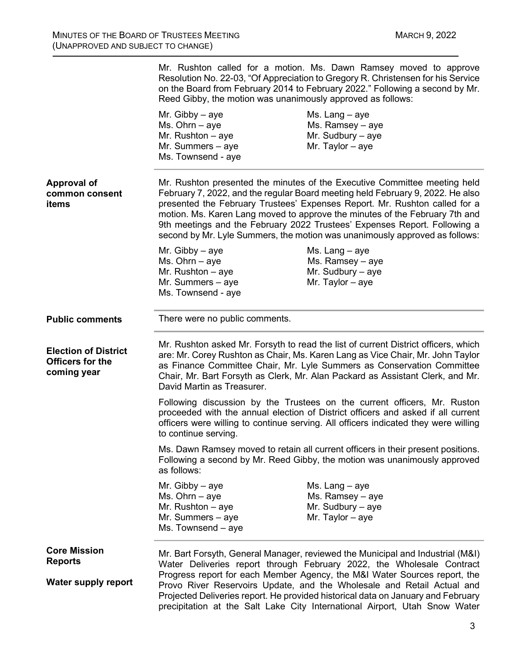|                                                                       | Mr. Rushton called for a motion. Ms. Dawn Ramsey moved to approve<br>Resolution No. 22-03, "Of Appreciation to Gregory R. Christensen for his Service<br>on the Board from February 2014 to February 2022." Following a second by Mr.<br>Reed Gibby, the motion was unanimously approved as follows:                                                                                                                                                                                 |                                                                                                                                                                                                                                                                                                                       |
|-----------------------------------------------------------------------|--------------------------------------------------------------------------------------------------------------------------------------------------------------------------------------------------------------------------------------------------------------------------------------------------------------------------------------------------------------------------------------------------------------------------------------------------------------------------------------|-----------------------------------------------------------------------------------------------------------------------------------------------------------------------------------------------------------------------------------------------------------------------------------------------------------------------|
|                                                                       | Mr. Gibby $-$ aye<br>$Ms. Ohrn - aye$<br>Mr. Rushton $-$ aye<br>Mr. Summers - aye<br>Ms. Townsend - aye                                                                                                                                                                                                                                                                                                                                                                              | Ms. Lang $-$ aye<br>Ms. Ramsey - aye<br>Mr. Sudbury $-$ aye<br>Mr. Taylor $-$ aye                                                                                                                                                                                                                                     |
| <b>Approval of</b><br>common consent<br>items                         | Mr. Rushton presented the minutes of the Executive Committee meeting held<br>February 7, 2022, and the regular Board meeting held February 9, 2022. He also<br>presented the February Trustees' Expenses Report. Mr. Rushton called for a<br>motion. Ms. Karen Lang moved to approve the minutes of the February 7th and<br>9th meetings and the February 2022 Trustees' Expenses Report. Following a<br>second by Mr. Lyle Summers, the motion was unanimously approved as follows: |                                                                                                                                                                                                                                                                                                                       |
|                                                                       | Mr. Gibby $-$ aye<br>Ms. Ohrn $-$ aye<br>Mr. Rushton $-$ aye<br>Mr. Summers $-$ aye<br>Ms. Townsend - aye                                                                                                                                                                                                                                                                                                                                                                            | Ms. Lang $-$ aye<br>Ms. Ramsey - aye<br>Mr. Sudbury $-$ aye<br>Mr. Taylor $-$ aye                                                                                                                                                                                                                                     |
| <b>Public comments</b>                                                | There were no public comments.                                                                                                                                                                                                                                                                                                                                                                                                                                                       |                                                                                                                                                                                                                                                                                                                       |
| <b>Election of District</b><br><b>Officers for the</b><br>coming year | Mr. Rushton asked Mr. Forsyth to read the list of current District officers, which<br>are: Mr. Corey Rushton as Chair, Ms. Karen Lang as Vice Chair, Mr. John Taylor<br>as Finance Committee Chair, Mr. Lyle Summers as Conservation Committee<br>Chair, Mr. Bart Forsyth as Clerk, Mr. Alan Packard as Assistant Clerk, and Mr.<br>David Martin as Treasurer.                                                                                                                       |                                                                                                                                                                                                                                                                                                                       |
|                                                                       | to continue serving.                                                                                                                                                                                                                                                                                                                                                                                                                                                                 | Following discussion by the Trustees on the current officers, Mr. Ruston<br>proceeded with the annual election of District officers and asked if all current<br>officers were willing to continue serving. All officers indicated they were willing                                                                   |
|                                                                       | as follows:                                                                                                                                                                                                                                                                                                                                                                                                                                                                          | Ms. Dawn Ramsey moved to retain all current officers in their present positions.<br>Following a second by Mr. Reed Gibby, the motion was unanimously approved                                                                                                                                                         |
|                                                                       | Mr. Gibby $-$ aye<br>Ms. Ohrn $-$ aye<br>Mr. Rushton $-$ aye<br>Mr. Summers - aye<br>Ms. Townsend – aye                                                                                                                                                                                                                                                                                                                                                                              | Ms. Lang $-$ aye<br>Ms. Ramsey $-$ aye<br>Mr. Sudbury $-$ aye<br>Mr. Taylor $-$ aye                                                                                                                                                                                                                                   |
| <b>Core Mission</b><br><b>Reports</b>                                 |                                                                                                                                                                                                                                                                                                                                                                                                                                                                                      | Mr. Bart Forsyth, General Manager, reviewed the Municipal and Industrial (M&I)<br>Water Deliveries report through February 2022, the Wholesale Contract                                                                                                                                                               |
| <b>Water supply report</b>                                            |                                                                                                                                                                                                                                                                                                                                                                                                                                                                                      | Progress report for each Member Agency, the M&I Water Sources report, the<br>Provo River Reservoirs Update, and the Wholesale and Retail Actual and<br>Projected Deliveries report. He provided historical data on January and February<br>precipitation at the Salt Lake City International Airport, Utah Snow Water |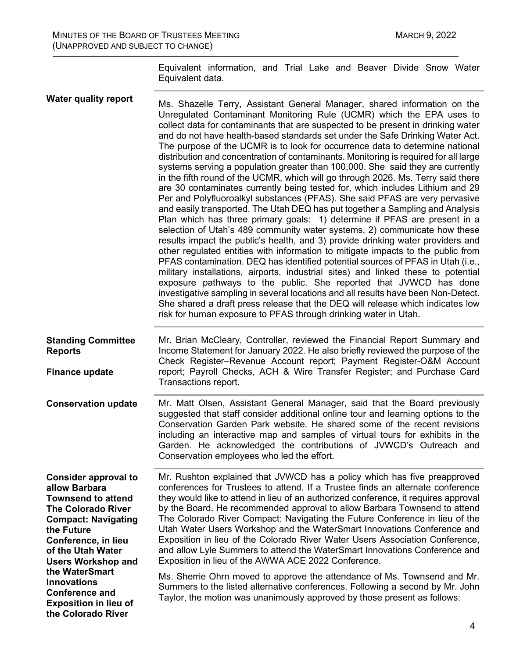Equivalent information, and Trial Lake and Beaver Divide Snow Water Equivalent data.

| <b>Water quality report</b>                                                                                                                                                                                                 | Ms. Shazelle Terry, Assistant General Manager, shared information on the<br>Unregulated Contaminant Monitoring Rule (UCMR) which the EPA uses to<br>collect data for contaminants that are suspected to be present in drinking water<br>and do not have health-based standards set under the Safe Drinking Water Act.<br>The purpose of the UCMR is to look for occurrence data to determine national<br>distribution and concentration of contaminants. Monitoring is required for all large<br>systems serving a population greater than 100,000. She said they are currently<br>in the fifth round of the UCMR, which will go through 2026. Ms. Terry said there<br>are 30 contaminates currently being tested for, which includes Lithium and 29<br>Per and Polyfluoroalkyl substances (PFAS). She said PFAS are very pervasive<br>and easily transported. The Utah DEQ has put together a Sampling and Analysis<br>Plan which has three primary goals: 1) determine if PFAS are present in a<br>selection of Utah's 489 community water systems, 2) communicate how these<br>results impact the public's health, and 3) provide drinking water providers and<br>other regulated entities with information to mitigate impacts to the public from<br>PFAS contamination. DEQ has identified potential sources of PFAS in Utah (i.e.,<br>military installations, airports, industrial sites) and linked these to potential<br>exposure pathways to the public. She reported that JVWCD has done<br>investigative sampling in several locations and all results have been Non-Detect.<br>She shared a draft press release that the DEQ will release which indicates low<br>risk for human exposure to PFAS through drinking water in Utah. |
|-----------------------------------------------------------------------------------------------------------------------------------------------------------------------------------------------------------------------------|----------------------------------------------------------------------------------------------------------------------------------------------------------------------------------------------------------------------------------------------------------------------------------------------------------------------------------------------------------------------------------------------------------------------------------------------------------------------------------------------------------------------------------------------------------------------------------------------------------------------------------------------------------------------------------------------------------------------------------------------------------------------------------------------------------------------------------------------------------------------------------------------------------------------------------------------------------------------------------------------------------------------------------------------------------------------------------------------------------------------------------------------------------------------------------------------------------------------------------------------------------------------------------------------------------------------------------------------------------------------------------------------------------------------------------------------------------------------------------------------------------------------------------------------------------------------------------------------------------------------------------------------------------------------------------------------------------------------------------------------|
| <b>Standing Committee</b><br><b>Reports</b><br><b>Finance update</b>                                                                                                                                                        | Mr. Brian McCleary, Controller, reviewed the Financial Report Summary and<br>Income Statement for January 2022. He also briefly reviewed the purpose of the<br>Check Register-Revenue Account report; Payment Register-O&M Account<br>report; Payroll Checks, ACH & Wire Transfer Register; and Purchase Card<br>Transactions report.                                                                                                                                                                                                                                                                                                                                                                                                                                                                                                                                                                                                                                                                                                                                                                                                                                                                                                                                                                                                                                                                                                                                                                                                                                                                                                                                                                                                        |
| <b>Conservation update</b>                                                                                                                                                                                                  | Mr. Matt Olsen, Assistant General Manager, said that the Board previously<br>suggested that staff consider additional online tour and learning options to the<br>Conservation Garden Park website. He shared some of the recent revisions<br>including an interactive map and samples of virtual tours for exhibits in the<br>Garden. He acknowledged the contributions of JVWCD's Outreach and<br>Conservation employees who led the effort.                                                                                                                                                                                                                                                                                                                                                                                                                                                                                                                                                                                                                                                                                                                                                                                                                                                                                                                                                                                                                                                                                                                                                                                                                                                                                                |
| <b>Consider approval to</b><br>allow Barbara<br><b>Townsend to attend</b><br><b>The Colorado River</b><br><b>Compact: Navigating</b><br>the Future<br>Conference, in lieu<br>of the Utah Water<br><b>Users Workshop and</b> | Mr. Rushton explained that JVWCD has a policy which has five preapproved<br>conferences for Trustees to attend. If a Trustee finds an alternate conference<br>they would like to attend in lieu of an authorized conference, it requires approval<br>by the Board. He recommended approval to allow Barbara Townsend to attend<br>The Colorado River Compact: Navigating the Future Conference in lieu of the<br>Utah Water Users Workshop and the WaterSmart Innovations Conference and<br>Exposition in lieu of the Colorado River Water Users Association Conference,<br>and allow Lyle Summers to attend the WaterSmart Innovations Conference and<br>Exposition in lieu of the AWWA ACE 2022 Conference.                                                                                                                                                                                                                                                                                                                                                                                                                                                                                                                                                                                                                                                                                                                                                                                                                                                                                                                                                                                                                                |
| the WaterSmart<br><b>Innovations</b><br><b>Conference and</b><br><b>Exposition in lieu of</b><br>the Colorado River                                                                                                         | Ms. Sherrie Ohrn moved to approve the attendance of Ms. Townsend and Mr.<br>Summers to the listed alternative conferences. Following a second by Mr. John<br>Taylor, the motion was unanimously approved by those present as follows:                                                                                                                                                                                                                                                                                                                                                                                                                                                                                                                                                                                                                                                                                                                                                                                                                                                                                                                                                                                                                                                                                                                                                                                                                                                                                                                                                                                                                                                                                                        |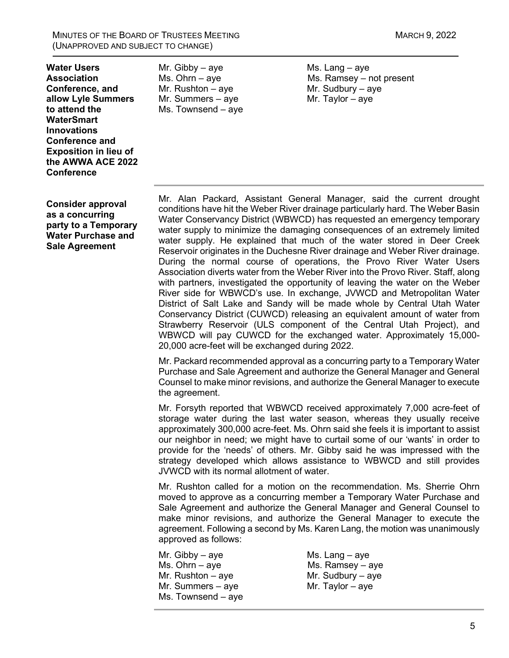MINUTES OF THE BOARD OF TRUSTEES MEETING MARCH 9, 2022 (UNAPPROVED AND SUBJECT TO CHANGE)

**Water Users Association Conference, and allow Lyle Summers to attend the WaterSmart Innovations Conference and Exposition in lieu of the AWWA ACE 2022 Conference**

**Consider approval as a concurring party to a Temporary Water Purchase and Sale Agreement**

Mr. Gibby – aye Ms. Lang – aye Ms. Ohrn – aye Ms. Ohrn – aye Mr. Rushton – aye  $Mr.$  Sudbury – aye Mr. Summers – aye  $Mr.$  Taylor – aye Ms. Townsend – aye

Ms. Ramsey – not present

Mr. Alan Packard, Assistant General Manager, said the current drought conditions have hit the Weber River drainage particularly hard. The Weber Basin Water Conservancy District (WBWCD) has requested an emergency temporary water supply to minimize the damaging consequences of an extremely limited water supply. He explained that much of the water stored in Deer Creek Reservoir originates in the Duchesne River drainage and Weber River drainage. During the normal course of operations, the Provo River Water Users Association diverts water from the Weber River into the Provo River. Staff, along with partners, investigated the opportunity of leaving the water on the Weber River side for WBWCD's use. In exchange, JVWCD and Metropolitan Water District of Salt Lake and Sandy will be made whole by Central Utah Water Conservancy District (CUWCD) releasing an equivalent amount of water from Strawberry Reservoir (ULS component of the Central Utah Project), and WBWCD will pay CUWCD for the exchanged water. Approximately 15,000- 20,000 acre-feet will be exchanged during 2022.

Mr. Packard recommended approval as a concurring party to a Temporary Water Purchase and Sale Agreement and authorize the General Manager and General Counsel to make minor revisions, and authorize the General Manager to execute the agreement.

Mr. Forsyth reported that WBWCD received approximately 7,000 acre-feet of storage water during the last water season, whereas they usually receive approximately 300,000 acre-feet. Ms. Ohrn said she feels it is important to assist our neighbor in need; we might have to curtail some of our 'wants' in order to provide for the 'needs' of others. Mr. Gibby said he was impressed with the strategy developed which allows assistance to WBWCD and still provides JVWCD with its normal allotment of water.

Mr. Rushton called for a motion on the recommendation. Ms. Sherrie Ohrn moved to approve as a concurring member a Temporary Water Purchase and Sale Agreement and authorize the General Manager and General Counsel to make minor revisions, and authorize the General Manager to execute the agreement. Following a second by Ms. Karen Lang, the motion was unanimously approved as follows:

Mr. Gibby – aye Ms. Lang – aye Ms. Ohrn – ave Ms. Ohrn – ave Mr. Rushton – aye  $Mr.$  Sudbury – aye Mr. Summers – aye  $Mr.$  Taylor – aye Ms. Townsend – aye

 $Ms.$  Ramsey – aye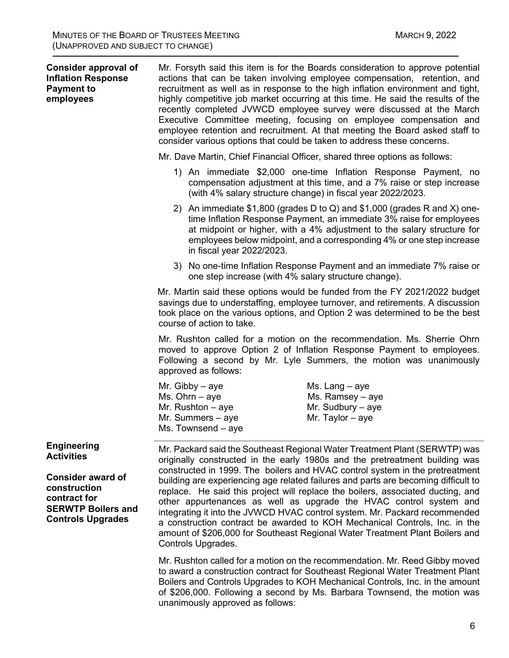| <b>Consider approval of</b><br><b>Inflation Response</b><br><b>Payment to</b><br>employees                                                                   | Mr. Forsyth said this item is for the Boards consideration to approve potential<br>actions that can be taken involving employee compensation, retention, and<br>recruitment as well as in response to the high inflation environment and tight,<br>highly competitive job market occurring at this time. He said the results of the<br>recently completed JVWCD employee survey were discussed at the March<br>Executive Committee meeting, focusing on employee compensation and<br>employee retention and recruitment. At that meeting the Board asked staff to<br>consider various options that could be taken to address these concerns. |                                                                                                                                                                                                                                                                                                                                                                                                                                                                                                                                                                                                                                                                                                                                      |
|--------------------------------------------------------------------------------------------------------------------------------------------------------------|----------------------------------------------------------------------------------------------------------------------------------------------------------------------------------------------------------------------------------------------------------------------------------------------------------------------------------------------------------------------------------------------------------------------------------------------------------------------------------------------------------------------------------------------------------------------------------------------------------------------------------------------|--------------------------------------------------------------------------------------------------------------------------------------------------------------------------------------------------------------------------------------------------------------------------------------------------------------------------------------------------------------------------------------------------------------------------------------------------------------------------------------------------------------------------------------------------------------------------------------------------------------------------------------------------------------------------------------------------------------------------------------|
|                                                                                                                                                              | Mr. Dave Martin, Chief Financial Officer, shared three options as follows:                                                                                                                                                                                                                                                                                                                                                                                                                                                                                                                                                                   |                                                                                                                                                                                                                                                                                                                                                                                                                                                                                                                                                                                                                                                                                                                                      |
|                                                                                                                                                              |                                                                                                                                                                                                                                                                                                                                                                                                                                                                                                                                                                                                                                              | 1) An immediate \$2,000 one-time Inflation Response Payment, no<br>compensation adjustment at this time, and a 7% raise or step increase<br>(with 4% salary structure change) in fiscal year 2022/2023.                                                                                                                                                                                                                                                                                                                                                                                                                                                                                                                              |
|                                                                                                                                                              | in fiscal year 2022/2023.                                                                                                                                                                                                                                                                                                                                                                                                                                                                                                                                                                                                                    | 2) An immediate \$1,800 (grades D to Q) and \$1,000 (grades R and X) one-<br>time Inflation Response Payment, an immediate 3% raise for employees<br>at midpoint or higher, with a 4% adjustment to the salary structure for<br>employees below midpoint, and a corresponding 4% or one step increase                                                                                                                                                                                                                                                                                                                                                                                                                                |
|                                                                                                                                                              | one step increase (with 4% salary structure change).                                                                                                                                                                                                                                                                                                                                                                                                                                                                                                                                                                                         | 3) No one-time Inflation Response Payment and an immediate 7% raise or                                                                                                                                                                                                                                                                                                                                                                                                                                                                                                                                                                                                                                                               |
|                                                                                                                                                              | course of action to take.                                                                                                                                                                                                                                                                                                                                                                                                                                                                                                                                                                                                                    | Mr. Martin said these options would be funded from the FY 2021/2022 budget<br>savings due to understaffing, employee turnover, and retirements. A discussion<br>took place on the various options, and Option 2 was determined to be the best                                                                                                                                                                                                                                                                                                                                                                                                                                                                                        |
|                                                                                                                                                              | approved as follows:                                                                                                                                                                                                                                                                                                                                                                                                                                                                                                                                                                                                                         | Mr. Rushton called for a motion on the recommendation. Ms. Sherrie Ohrn<br>moved to approve Option 2 of Inflation Response Payment to employees.<br>Following a second by Mr. Lyle Summers, the motion was unanimously                                                                                                                                                                                                                                                                                                                                                                                                                                                                                                               |
|                                                                                                                                                              | Mr. Gibby $-$ aye<br>Ms. Ohrn $-$ aye<br>Mr. Rushton $-$ aye<br>Mr. Summers $-$ aye<br>$Ms.$ Townsend $-$ aye                                                                                                                                                                                                                                                                                                                                                                                                                                                                                                                                | $Ms.$ Lang $-$ aye<br>Ms. Ramsey - aye<br>Mr. Sudbury $-$ aye<br>Mr. Taylor $-$ aye                                                                                                                                                                                                                                                                                                                                                                                                                                                                                                                                                                                                                                                  |
| <b>Engineering</b><br><b>Activities</b><br><b>Consider award of</b><br>construction<br>contract for<br><b>SERWTP Boilers and</b><br><b>Controls Upgrades</b> | Controls Upgrades.                                                                                                                                                                                                                                                                                                                                                                                                                                                                                                                                                                                                                           | Mr. Packard said the Southeast Regional Water Treatment Plant (SERWTP) was<br>originally constructed in the early 1980s and the pretreatment building was<br>constructed in 1999. The boilers and HVAC control system in the pretreatment<br>building are experiencing age related failures and parts are becoming difficult to<br>replace. He said this project will replace the boilers, associated ducting, and<br>other appurtenances as well as upgrade the HVAC control system and<br>integrating it into the JVWCD HVAC control system. Mr. Packard recommended<br>a construction contract be awarded to KOH Mechanical Controls, Inc. in the<br>amount of \$206,000 for Southeast Regional Water Treatment Plant Boilers and |
|                                                                                                                                                              |                                                                                                                                                                                                                                                                                                                                                                                                                                                                                                                                                                                                                                              | Mr. Rushton called for a motion on the recommendation. Mr. Reed Gibby moved                                                                                                                                                                                                                                                                                                                                                                                                                                                                                                                                                                                                                                                          |

to award a construction contract for Southeast Regional Water Treatment Plant Boilers and Controls Upgrades to KOH Mechanical Controls, Inc. in the amount of \$206,000. Following a second by Ms. Barbara Townsend, the motion was unanimously approved as follows:

6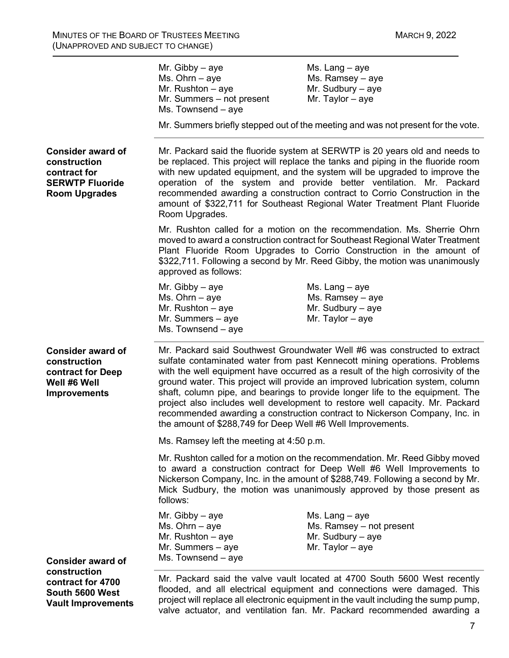|                                                                                                               | Mr. Gibby $-$ aye<br>$Ms. Ohrn - aye$<br>Mr. Rushton $-$ aye<br>Mr. Summers - not present<br>Ms. Townsend - aye                                                                                                                                                                                                                                                                                                                                                                                   | Ms. Lang $-$ aye<br>Ms. Ramsey - aye<br>Mr. Sudbury $-$ aye<br>Mr. Taylor $-$ aye<br>Mr. Summers briefly stepped out of the meeting and was not present for the vote.                                                                                                                                                                                                                                                                                                                                                                                                        |
|---------------------------------------------------------------------------------------------------------------|---------------------------------------------------------------------------------------------------------------------------------------------------------------------------------------------------------------------------------------------------------------------------------------------------------------------------------------------------------------------------------------------------------------------------------------------------------------------------------------------------|------------------------------------------------------------------------------------------------------------------------------------------------------------------------------------------------------------------------------------------------------------------------------------------------------------------------------------------------------------------------------------------------------------------------------------------------------------------------------------------------------------------------------------------------------------------------------|
| <b>Consider award of</b><br>construction<br>contract for<br><b>SERWTP Fluoride</b><br><b>Room Upgrades</b>    | Mr. Packard said the fluoride system at SERWTP is 20 years old and needs to<br>be replaced. This project will replace the tanks and piping in the fluoride room<br>with new updated equipment, and the system will be upgraded to improve the<br>operation of the system and provide better ventilation. Mr. Packard<br>recommended awarding a construction contract to Corrio Construction in the<br>amount of \$322,711 for Southeast Regional Water Treatment Plant Fluoride<br>Room Upgrades. |                                                                                                                                                                                                                                                                                                                                                                                                                                                                                                                                                                              |
|                                                                                                               | approved as follows:                                                                                                                                                                                                                                                                                                                                                                                                                                                                              | Mr. Rushton called for a motion on the recommendation. Ms. Sherrie Ohrn<br>moved to award a construction contract for Southeast Regional Water Treatment<br>Plant Fluoride Room Upgrades to Corrio Construction in the amount of<br>\$322,711. Following a second by Mr. Reed Gibby, the motion was unanimously                                                                                                                                                                                                                                                              |
|                                                                                                               | Mr. Gibby $-$ aye<br>Ms. Ohrn $-$ aye<br>Mr. Rushton $-$ aye<br>Mr. Summers $-$ aye<br>Ms. Townsend - aye                                                                                                                                                                                                                                                                                                                                                                                         | Ms. Lang - aye<br>Ms. Ramsey - aye<br>Mr. Sudbury $-$ aye<br>Mr. Taylor $-$ aye                                                                                                                                                                                                                                                                                                                                                                                                                                                                                              |
| <b>Consider award of</b><br>construction<br>contract for Deep<br>Well #6 Well<br><b>Improvements</b>          | the amount of \$288,749 for Deep Well #6 Well Improvements.                                                                                                                                                                                                                                                                                                                                                                                                                                       | Mr. Packard said Southwest Groundwater Well #6 was constructed to extract<br>sulfate contaminated water from past Kennecott mining operations. Problems<br>with the well equipment have occurred as a result of the high corrosivity of the<br>ground water. This project will provide an improved lubrication system, column<br>shaft, column pipe, and bearings to provide longer life to the equipment. The<br>project also includes well development to restore well capacity. Mr. Packard<br>recommended awarding a construction contract to Nickerson Company, Inc. in |
|                                                                                                               | Ms. Ramsey left the meeting at 4:50 p.m.                                                                                                                                                                                                                                                                                                                                                                                                                                                          |                                                                                                                                                                                                                                                                                                                                                                                                                                                                                                                                                                              |
|                                                                                                               | follows:                                                                                                                                                                                                                                                                                                                                                                                                                                                                                          | Mr. Rushton called for a motion on the recommendation. Mr. Reed Gibby moved<br>to award a construction contract for Deep Well #6 Well Improvements to<br>Nickerson Company, Inc. in the amount of \$288,749. Following a second by Mr.<br>Mick Sudbury, the motion was unanimously approved by those present as                                                                                                                                                                                                                                                              |
|                                                                                                               | Mr. Gibby $-$ aye<br>$Ms. Ohrn - aye$<br>Mr. Rushton $-$ aye<br>Mr. Summers $-$ aye<br>Ms. Townsend - aye                                                                                                                                                                                                                                                                                                                                                                                         | Ms. Lang $-$ aye<br>Ms. Ramsey - not present<br>Mr. Sudbury $-$ aye<br>Mr. Taylor $-$ aye                                                                                                                                                                                                                                                                                                                                                                                                                                                                                    |
| <b>Consider award of</b><br>construction<br>contract for 4700<br>South 5600 West<br><b>Vault Improvements</b> |                                                                                                                                                                                                                                                                                                                                                                                                                                                                                                   | Mr. Packard said the valve vault located at 4700 South 5600 West recently<br>flooded, and all electrical equipment and connections were damaged. This<br>project will replace all electronic equipment in the vault including the sump pump,                                                                                                                                                                                                                                                                                                                                 |

valve actuator, and ventilation fan. Mr. Packard recommended awarding a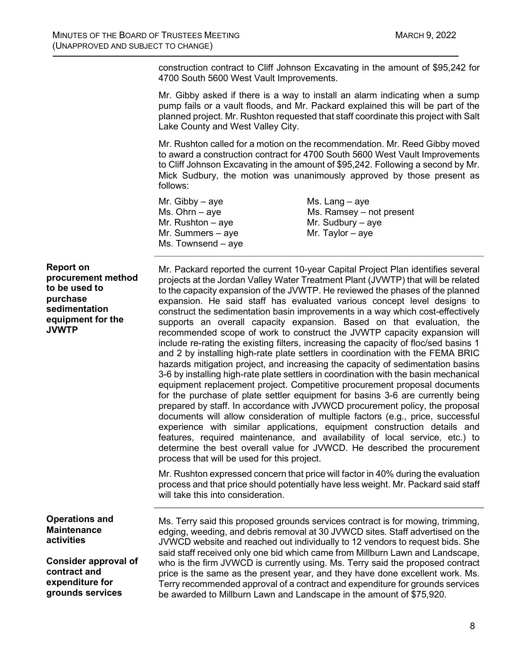construction contract to Cliff Johnson Excavating in the amount of \$95,242 for 4700 South 5600 West Vault Improvements.

Mr. Gibby asked if there is a way to install an alarm indicating when a sump pump fails or a vault floods, and Mr. Packard explained this will be part of the planned project. Mr. Rushton requested that staff coordinate this project with Salt Lake County and West Valley City.

Mr. Rushton called for a motion on the recommendation. Mr. Reed Gibby moved to award a construction contract for 4700 South 5600 West Vault Improvements to Cliff Johnson Excavating in the amount of \$95,242. Following a second by Mr. Mick Sudbury, the motion was unanimously approved by those present as follows:

Mr. Gibby – aye  $MS.$  Lang – aye Mr. Rushton – aye  $Mr.$  Sudbury – aye Mr. Summers – aye  $Mr.$  Taylor – aye Ms. Townsend – aye

 $Ms. Ohrn - aye$  Ms. Ramsey – not present

**Report on procurement method to be used to purchase sedimentation equipment for the JVWTP**

Mr. Packard reported the current 10-year Capital Project Plan identifies several projects at the Jordan Valley Water Treatment Plant (JVWTP) that will be related to the capacity expansion of the JVWTP. He reviewed the phases of the planned expansion. He said staff has evaluated various concept level designs to construct the sedimentation basin improvements in a way which cost-effectively supports an overall capacity expansion. Based on that evaluation, the recommended scope of work to construct the JVWTP capacity expansion will include re-rating the existing filters, increasing the capacity of floc/sed basins 1 and 2 by installing high-rate plate settlers in coordination with the FEMA BRIC hazards mitigation project, and increasing the capacity of sedimentation basins 3-6 by installing high-rate plate settlers in coordination with the basin mechanical equipment replacement project. Competitive procurement proposal documents for the purchase of plate settler equipment for basins 3-6 are currently being prepared by staff. In accordance with JVWCD procurement policy, the proposal documents will allow consideration of multiple factors (e.g., price, successful experience with similar applications, equipment construction details and features, required maintenance, and availability of local service, etc.) to determine the best overall value for JVWCD. He described the procurement process that will be used for this project.

Mr. Rushton expressed concern that price will factor in 40% during the evaluation process and that price should potentially have less weight. Mr. Packard said staff will take this into consideration.

**Operations and Maintenance activities**

**Consider approval of contract and expenditure for grounds services**

Ms. Terry said this proposed grounds services contract is for mowing, trimming, edging, weeding, and debris removal at 30 JVWCD sites. Staff advertised on the JVWCD website and reached out individually to 12 vendors to request bids. She said staff received only one bid which came from Millburn Lawn and Landscape, who is the firm JVWCD is currently using. Ms. Terry said the proposed contract price is the same as the present year, and they have done excellent work. Ms. Terry recommended approval of a contract and expenditure for grounds services be awarded to Millburn Lawn and Landscape in the amount of \$75,920.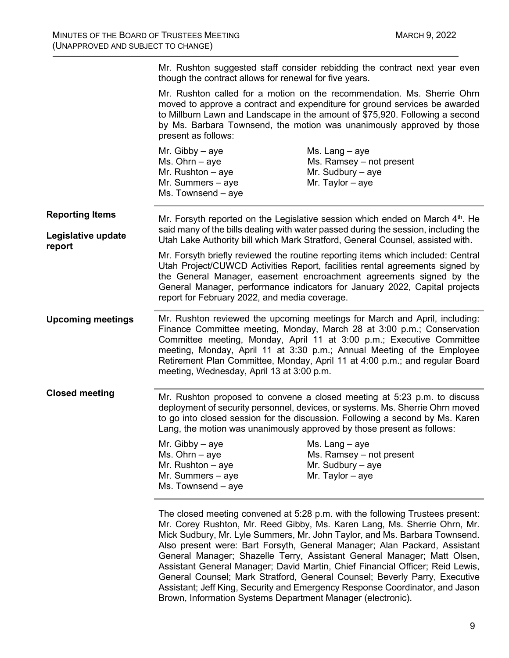|                              | Mr. Rushton suggested staff consider rebidding the contract next year even<br>though the contract allows for renewal for five years.                                                                                                                                                                                                  |                                                                                                                                                                                                                                                                                                                                                                                        |
|------------------------------|---------------------------------------------------------------------------------------------------------------------------------------------------------------------------------------------------------------------------------------------------------------------------------------------------------------------------------------|----------------------------------------------------------------------------------------------------------------------------------------------------------------------------------------------------------------------------------------------------------------------------------------------------------------------------------------------------------------------------------------|
|                              | Mr. Rushton called for a motion on the recommendation. Ms. Sherrie Ohrn<br>moved to approve a contract and expenditure for ground services be awarded<br>to Millburn Lawn and Landscape in the amount of \$75,920. Following a second<br>by Ms. Barbara Townsend, the motion was unanimously approved by those<br>present as follows: |                                                                                                                                                                                                                                                                                                                                                                                        |
|                              | Mr. Gibby $-$ aye<br>Ms. Ohrn $-$ aye<br>Mr. Rushton $-$ aye<br>Mr. Summers $-$ aye<br>Ms. Townsend - aye                                                                                                                                                                                                                             | Ms. Lang $-$ aye<br>Ms. Ramsey – not present<br>Mr. Sudbury $-$ aye<br>Mr. Taylor $-$ aye                                                                                                                                                                                                                                                                                              |
| <b>Reporting Items</b>       |                                                                                                                                                                                                                                                                                                                                       | Mr. Forsyth reported on the Legislative session which ended on March $4th$ . He                                                                                                                                                                                                                                                                                                        |
| Legislative update<br>report |                                                                                                                                                                                                                                                                                                                                       | said many of the bills dealing with water passed during the session, including the<br>Utah Lake Authority bill which Mark Stratford, General Counsel, assisted with.                                                                                                                                                                                                                   |
|                              | report for February 2022, and media coverage.                                                                                                                                                                                                                                                                                         | Mr. Forsyth briefly reviewed the routine reporting items which included: Central<br>Utah Project/CUWCD Activities Report, facilities rental agreements signed by<br>the General Manager, easement encroachment agreements signed by the<br>General Manager, performance indicators for January 2022, Capital projects                                                                  |
| <b>Upcoming meetings</b>     | meeting, Wednesday, April 13 at 3:00 p.m.                                                                                                                                                                                                                                                                                             | Mr. Rushton reviewed the upcoming meetings for March and April, including:<br>Finance Committee meeting, Monday, March 28 at 3:00 p.m.; Conservation<br>Committee meeting, Monday, April 11 at 3:00 p.m.; Executive Committee<br>meeting, Monday, April 11 at 3:30 p.m.; Annual Meeting of the Employee<br>Retirement Plan Committee, Monday, April 11 at 4:00 p.m.; and regular Board |
| <b>Closed meeting</b>        |                                                                                                                                                                                                                                                                                                                                       | Mr. Rushton proposed to convene a closed meeting at 5:23 p.m. to discuss<br>deployment of security personnel, devices, or systems. Ms. Sherrie Ohrn moved<br>to go into closed session for the discussion. Following a second by Ms. Karen<br>Lang, the motion was unanimously approved by those present as follows:                                                                   |
|                              | Mr. Gibby $-$ aye<br>$Ms. Ohrn - aye$<br>Mr. Rushton $-$ aye<br>Mr. Summers - aye<br>Ms. Townsend - aye                                                                                                                                                                                                                               | Ms. Lang – aye<br>Ms. Ramsey - not present<br>Mr. Sudbury $-$ aye<br>Mr. Taylor $-$ aye                                                                                                                                                                                                                                                                                                |
|                              |                                                                                                                                                                                                                                                                                                                                       |                                                                                                                                                                                                                                                                                                                                                                                        |

The closed meeting convened at 5:28 p.m. with the following Trustees present: Mr. Corey Rushton, Mr. Reed Gibby, Ms. Karen Lang, Ms. Sherrie Ohrn, Mr. Mick Sudbury, Mr. Lyle Summers, Mr. John Taylor, and Ms. Barbara Townsend. Also present were: Bart Forsyth, General Manager; Alan Packard, Assistant General Manager; Shazelle Terry, Assistant General Manager; Matt Olsen, Assistant General Manager; David Martin, Chief Financial Officer; Reid Lewis, General Counsel; Mark Stratford, General Counsel; Beverly Parry, Executive Assistant; Jeff King, Security and Emergency Response Coordinator, and Jason Brown, Information Systems Department Manager (electronic).